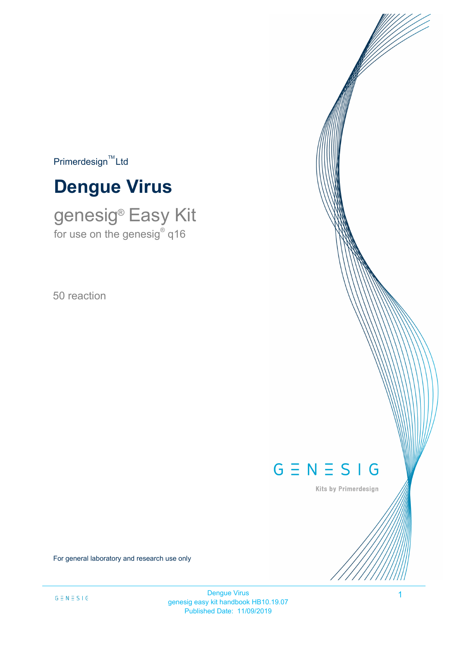$Primerdesign^{\text{TM}}$ Ltd

# **Dengue Virus**

genesig® Easy Kit for use on the genesig $^\circ$  q16

50 reaction

# $G \equiv N \equiv S \mid G$

Kits by Primerdesign

For general laboratory and research use only

Dengue Virus 1 genesig easy kit handbook HB10.19.07 Published Date: 11/09/2019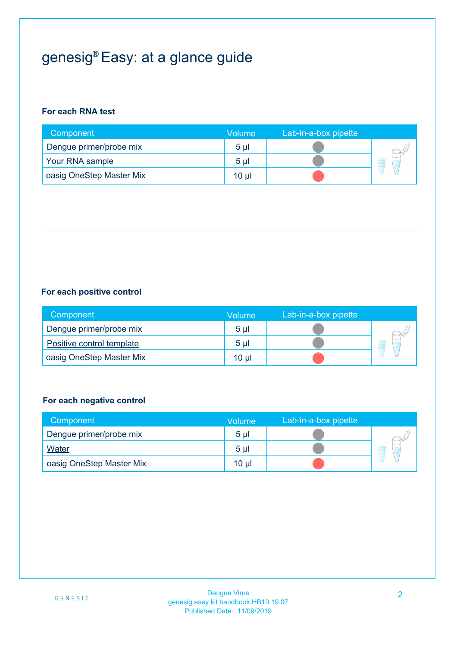# genesig® Easy: at a glance guide

#### **For each RNA test**

| Component                | <b>Volume</b>  | Lab-in-a-box pipette |  |
|--------------------------|----------------|----------------------|--|
| Dengue primer/probe mix  | 5 <sub>µ</sub> |                      |  |
| Your RNA sample          | 5 <sub>µ</sub> |                      |  |
| oasig OneStep Master Mix | $10 \mu$       |                      |  |

### **For each positive control**

| Component                 | <b>Volume</b>   | Lab-in-a-box pipette |   |
|---------------------------|-----------------|----------------------|---|
| Dengue primer/probe mix   | 5 <sub>µ</sub>  |                      |   |
| Positive control template | 5 <sub>µ</sub>  |                      | Ξ |
| oasig OneStep Master Mix  | 10 <sub>µ</sub> |                      |   |

### **For each negative control**

| Component                | Volume          | Lab-in-a-box pipette |   |
|--------------------------|-----------------|----------------------|---|
| Dengue primer/probe mix  | 5 <sub>µ</sub>  |                      |   |
| Water                    | 5 <sub>µ</sub>  |                      | ۳ |
| oasig OneStep Master Mix | 10 <sub>µ</sub> |                      |   |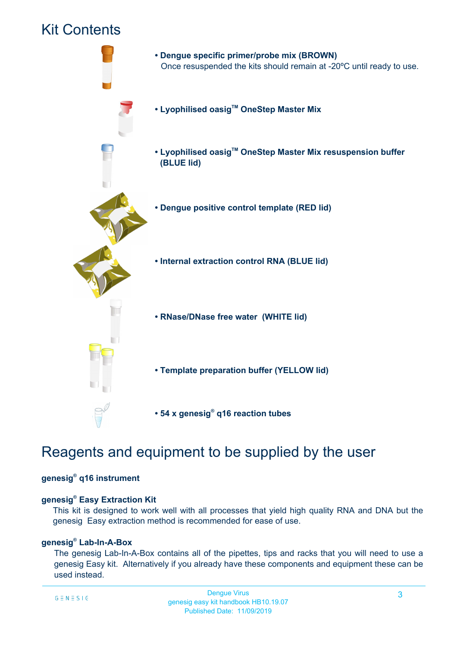### Kit Contents



# Reagents and equipment to be supplied by the user

#### **genesig® q16 instrument**

#### **genesig® Easy Extraction Kit**

This kit is designed to work well with all processes that yield high quality RNA and DNA but the genesig Easy extraction method is recommended for ease of use.

#### **genesig® Lab-In-A-Box**

The genesig Lab-In-A-Box contains all of the pipettes, tips and racks that you will need to use a genesig Easy kit. Alternatively if you already have these components and equipment these can be used instead.

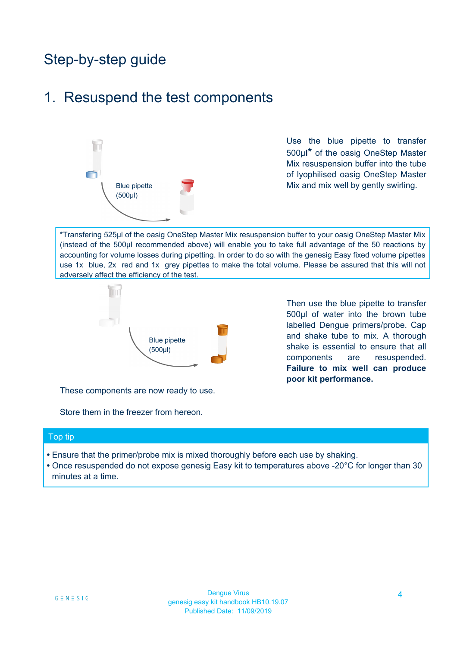# Step-by-step guide

## 1. Resuspend the test components



Use the blue pipette to transfer 500µ**l\*** of the oasig OneStep Master Mix resuspension buffer into the tube of lyophilised oasig OneStep Master Mix and mix well by gently swirling.

**\***Transfering 525µl of the oasig OneStep Master Mix resuspension buffer to your oasig OneStep Master Mix (instead of the 500µl recommended above) will enable you to take full advantage of the 50 reactions by accounting for volume losses during pipetting. In order to do so with the genesig Easy fixed volume pipettes use 1x blue, 2x red and 1x grey pipettes to make the total volume. Please be assured that this will not adversely affect the efficiency of the test.



Then use the blue pipette to transfer 500µl of water into the brown tube labelled Dengue primers/probe. Cap and shake tube to mix. A thorough shake is essential to ensure that all components are resuspended. **Failure to mix well can produce poor kit performance.**

These components are now ready to use.

Store them in the freezer from hereon.

#### Top tip

- Ensure that the primer/probe mix is mixed thoroughly before each use by shaking.
- Once resuspended do not expose genesig Easy kit to temperatures above -20°C for longer than 30 minutes at a time.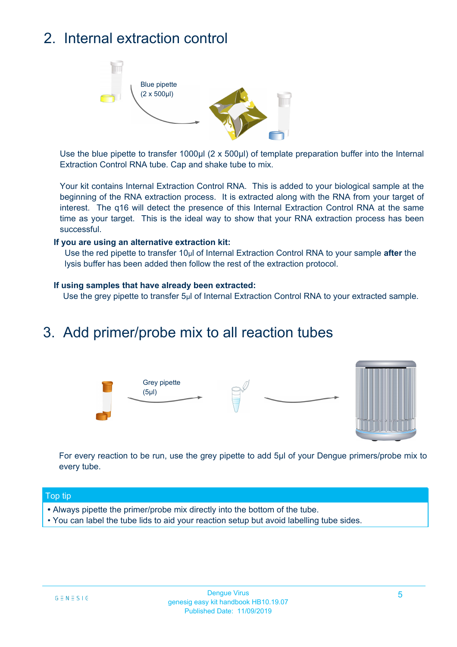# 2. Internal extraction control



Use the blue pipette to transfer 1000µl (2 x 500µl) of template preparation buffer into the Internal Extraction Control RNA tube. Cap and shake tube to mix.

Your kit contains Internal Extraction Control RNA. This is added to your biological sample at the beginning of the RNA extraction process. It is extracted along with the RNA from your target of interest. The q16 will detect the presence of this Internal Extraction Control RNA at the same time as your target. This is the ideal way to show that your RNA extraction process has been successful.

#### **If you are using an alternative extraction kit:**

Use the red pipette to transfer 10µl of Internal Extraction Control RNA to your sample **after** the lysis buffer has been added then follow the rest of the extraction protocol.

#### **If using samples that have already been extracted:**

Use the grey pipette to transfer 5µl of Internal Extraction Control RNA to your extracted sample.

### 3. Add primer/probe mix to all reaction tubes





For every reaction to be run, use the grey pipette to add 5µl of your Dengue primers/probe mix to every tube.

#### Top tip

- Always pipette the primer/probe mix directly into the bottom of the tube.
- You can label the tube lids to aid your reaction setup but avoid labelling tube sides.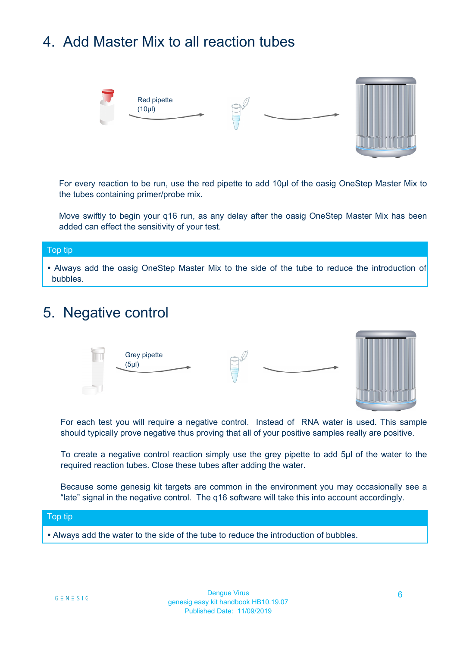# 4. Add Master Mix to all reaction tubes



For every reaction to be run, use the red pipette to add 10µl of the oasig OneStep Master Mix to the tubes containing primer/probe mix.

Move swiftly to begin your q16 run, as any delay after the oasig OneStep Master Mix has been added can effect the sensitivity of your test.

### Top tip **•** Always add the oasig OneStep Master Mix to the side of the tube to reduce the introduction of bubbles.

### 5. Negative control



For each test you will require a negative control. Instead of RNA water is used. This sample should typically prove negative thus proving that all of your positive samples really are positive.

To create a negative control reaction simply use the grey pipette to add 5µl of the water to the required reaction tubes. Close these tubes after adding the water.

Because some genesig kit targets are common in the environment you may occasionally see a "late" signal in the negative control. The q16 software will take this into account accordingly.

#### Top tip

**•** Always add the water to the side of the tube to reduce the introduction of bubbles.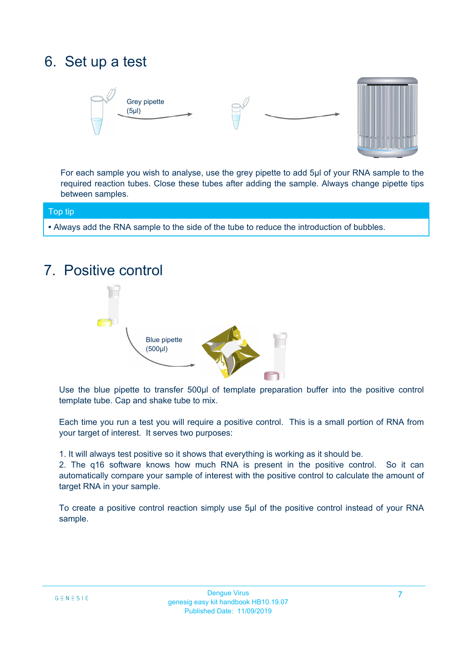# 6. Set up a test





For each sample you wish to analyse, use the grey pipette to add 5µl of your RNA sample to the required reaction tubes. Close these tubes after adding the sample. Always change pipette tips between samples.

Top tip

**•** Always add the RNA sample to the side of the tube to reduce the introduction of bubbles.

## 7. Positive control



Use the blue pipette to transfer 500µl of template preparation buffer into the positive control template tube. Cap and shake tube to mix.

Each time you run a test you will require a positive control. This is a small portion of RNA from your target of interest. It serves two purposes:

1. It will always test positive so it shows that everything is working as it should be.

2. The q16 software knows how much RNA is present in the positive control. So it can automatically compare your sample of interest with the positive control to calculate the amount of target RNA in your sample.

To create a positive control reaction simply use 5µl of the positive control instead of your RNA sample.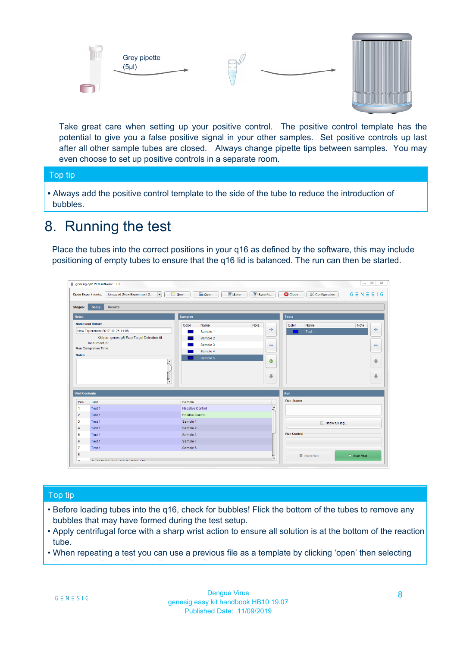

Take great care when setting up your positive control. The positive control template has the potential to give you a false positive signal in your other samples. Set positive controls up last after all other sample tubes are closed. Always change pipette tips between samples. You may even choose to set up positive controls in a separate room.

#### Top tip

**•** Always add the positive control template to the side of the tube to reduce the introduction of bubbles.

### 8. Running the test

Place the tubes into the correct positions in your q16 as defined by the software, this may include positioning of empty tubes to ensure that the q16 lid is balanced. The run can then be started.

|                             | genesig q16 PCR software - 1.2                                               |                                            |                              |                                              | $\qquad \qquad \Box$<br>$\Sigma$ |
|-----------------------------|------------------------------------------------------------------------------|--------------------------------------------|------------------------------|----------------------------------------------|----------------------------------|
|                             | $\vert \cdot \vert$<br>Unsaved (New Experiment 2<br><b>Open Experiments:</b> | <b>S</b> Open<br><b>Save</b><br>$\Box$ New | Save As                      | <b>C</b> Close<br><b>&amp; Configuration</b> | $G \equiv N \equiv S \mid G$     |
| <b>Stages:</b>              | Setup<br><b>Results</b>                                                      |                                            |                              |                                              |                                  |
| <b>Notes</b>                |                                                                              | <b>Samples</b>                             |                              | <b>Tests</b>                                 |                                  |
|                             | <b>Name and Details</b>                                                      | Color<br>Name                              | Note                         | Color<br>Name                                | Note                             |
|                             | New Experiment 2017-10-26 11:06                                              | Sample 1                                   | 4                            | Test 1                                       | 4                                |
|                             | Kit type: genesig® Easy Target Detection kit                                 | Sample 2                                   |                              |                                              |                                  |
|                             | Instrument Id.:                                                              | Sample 3                                   | $\qquad \qquad \blacksquare$ |                                              | $\qquad \qquad \blacksquare$     |
|                             | <b>Run Completion Time:</b>                                                  | Sample 4                                   |                              |                                              |                                  |
| <b>Notes</b>                |                                                                              | Sample 5                                   |                              |                                              |                                  |
|                             | $\blacktriangle$                                                             |                                            | 全                            |                                              | 合                                |
|                             |                                                                              |                                            |                              |                                              |                                  |
|                             |                                                                              |                                            |                              |                                              |                                  |
|                             |                                                                              |                                            | ÷                            |                                              | $\ddot{\phantom{1}}$             |
|                             | $\overline{\mathbf{v}}$                                                      |                                            |                              |                                              |                                  |
| <b>Well Contents</b>        |                                                                              |                                            |                              | Run                                          |                                  |
|                             | Test                                                                         | Sample                                     |                              | <b>Run Status</b>                            |                                  |
| $\blacktriangleleft$        | Test 1                                                                       | Negative Control                           | $\blacktriangle$             |                                              |                                  |
|                             | Test 1                                                                       | <b>Positive Control</b>                    |                              |                                              |                                  |
| Pos.<br>$\overline{2}$<br>3 | Test 1                                                                       | Sample 1                                   |                              |                                              |                                  |
| $\overline{4}$              | Test 1                                                                       | Sample 2                                   |                              | Show full log                                |                                  |
| 5                           | Test 1                                                                       | Sample 3                                   |                              | <b>Run Control</b>                           |                                  |
|                             | Test 1                                                                       | Sample 4                                   |                              |                                              |                                  |
|                             |                                                                              |                                            |                              |                                              |                                  |
| 6<br>$\overline{7}$<br>8    | Test 1                                                                       | Sample 5                                   |                              | ■ Abort Run                                  | $\triangleright$ Start Run       |

#### Top tip

- Before loading tubes into the q16, check for bubbles! Flick the bottom of the tubes to remove any bubbles that may have formed during the test setup.
- Apply centrifugal force with a sharp wrist action to ensure all solution is at the bottom of the reaction tube.
- When repeating a test you can use a previous file as a template by clicking 'open' then selecting

File name > Files of Type > Experiment file as template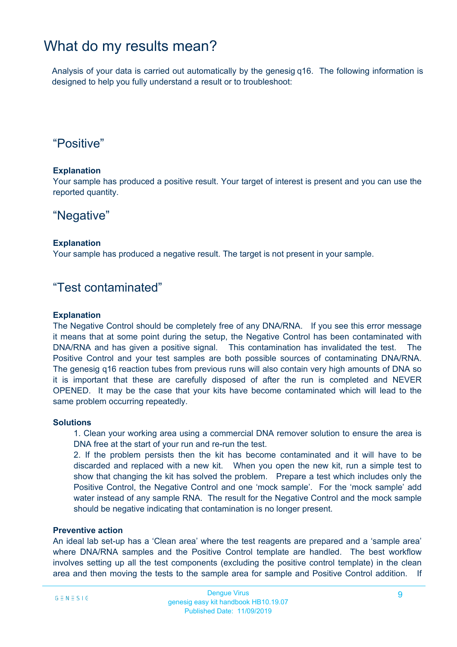### What do my results mean?

Analysis of your data is carried out automatically by the genesig q16. The following information is designed to help you fully understand a result or to troubleshoot:

### "Positive"

#### **Explanation**

Your sample has produced a positive result. Your target of interest is present and you can use the reported quantity.

### "Negative"

#### **Explanation**

Your sample has produced a negative result. The target is not present in your sample.

### "Test contaminated"

#### **Explanation**

The Negative Control should be completely free of any DNA/RNA. If you see this error message it means that at some point during the setup, the Negative Control has been contaminated with DNA/RNA and has given a positive signal. This contamination has invalidated the test. The Positive Control and your test samples are both possible sources of contaminating DNA/RNA. The genesig q16 reaction tubes from previous runs will also contain very high amounts of DNA so it is important that these are carefully disposed of after the run is completed and NEVER OPENED. It may be the case that your kits have become contaminated which will lead to the same problem occurring repeatedly.

#### **Solutions**

1. Clean your working area using a commercial DNA remover solution to ensure the area is DNA free at the start of your run and re-run the test.

2. If the problem persists then the kit has become contaminated and it will have to be discarded and replaced with a new kit. When you open the new kit, run a simple test to show that changing the kit has solved the problem. Prepare a test which includes only the Positive Control, the Negative Control and one 'mock sample'. For the 'mock sample' add water instead of any sample RNA. The result for the Negative Control and the mock sample should be negative indicating that contamination is no longer present.

#### **Preventive action**

An ideal lab set-up has a 'Clean area' where the test reagents are prepared and a 'sample area' where DNA/RNA samples and the Positive Control template are handled. The best workflow involves setting up all the test components (excluding the positive control template) in the clean area and then moving the tests to the sample area for sample and Positive Control addition. If

this method is followed then the kit components are always kept away from possible sources of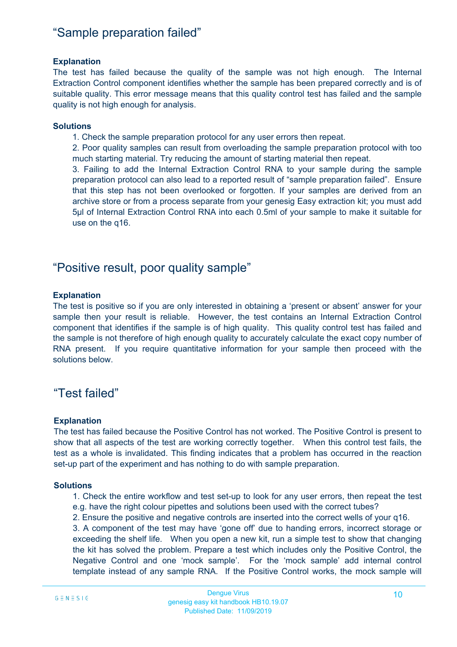### "Sample preparation failed"

#### **Explanation**

The test has failed because the quality of the sample was not high enough. The Internal Extraction Control component identifies whether the sample has been prepared correctly and is of suitable quality. This error message means that this quality control test has failed and the sample quality is not high enough for analysis.

#### **Solutions**

1. Check the sample preparation protocol for any user errors then repeat.

2. Poor quality samples can result from overloading the sample preparation protocol with too much starting material. Try reducing the amount of starting material then repeat.

3. Failing to add the Internal Extraction Control RNA to your sample during the sample preparation protocol can also lead to a reported result of "sample preparation failed". Ensure that this step has not been overlooked or forgotten. If your samples are derived from an archive store or from a process separate from your genesig Easy extraction kit; you must add 5µl of Internal Extraction Control RNA into each 0.5ml of your sample to make it suitable for use on the q16.

### "Positive result, poor quality sample"

#### **Explanation**

The test is positive so if you are only interested in obtaining a 'present or absent' answer for your sample then your result is reliable. However, the test contains an Internal Extraction Control component that identifies if the sample is of high quality. This quality control test has failed and the sample is not therefore of high enough quality to accurately calculate the exact copy number of RNA present. If you require quantitative information for your sample then proceed with the solutions below.

### "Test failed"

#### **Explanation**

The test has failed because the Positive Control has not worked. The Positive Control is present to show that all aspects of the test are working correctly together. When this control test fails, the test as a whole is invalidated. This finding indicates that a problem has occurred in the reaction set-up part of the experiment and has nothing to do with sample preparation.

#### **Solutions**

1. Check the entire workflow and test set-up to look for any user errors, then repeat the test e.g. have the right colour pipettes and solutions been used with the correct tubes?

2. Ensure the positive and negative controls are inserted into the correct wells of your q16.

3. A component of the test may have 'gone off' due to handing errors, incorrect storage or exceeding the shelf life. When you open a new kit, run a simple test to show that changing the kit has solved the problem. Prepare a test which includes only the Positive Control, the Negative Control and one 'mock sample'. For the 'mock sample' add internal control template instead of any sample RNA. If the Positive Control works, the mock sample will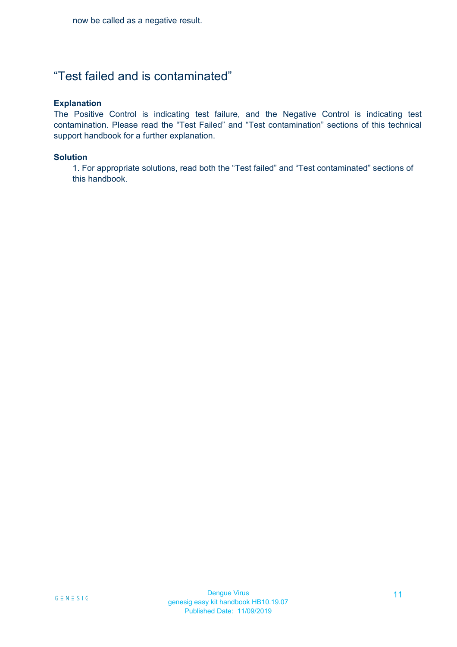### "Test failed and is contaminated"

#### **Explanation**

The Positive Control is indicating test failure, and the Negative Control is indicating test contamination. Please read the "Test Failed" and "Test contamination" sections of this technical support handbook for a further explanation.

#### **Solution**

1. For appropriate solutions, read both the "Test failed" and "Test contaminated" sections of this handbook.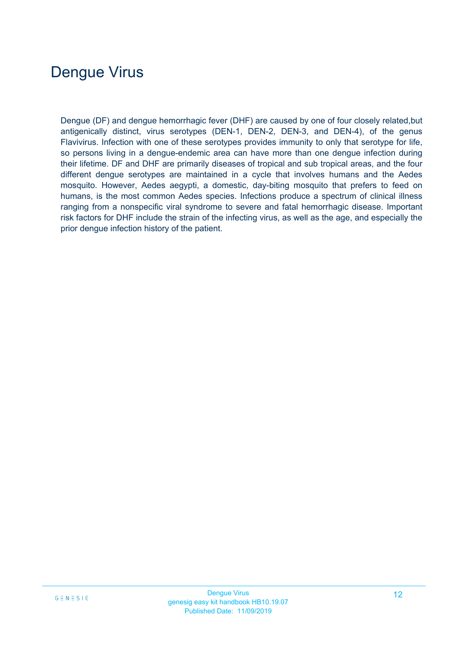# Dengue Virus

Dengue (DF) and dengue hemorrhagic fever (DHF) are caused by one of four closely related,but antigenically distinct, virus serotypes (DEN-1, DEN-2, DEN-3, and DEN-4), of the genus Flavivirus. Infection with one of these serotypes provides immunity to only that serotype for life, so persons living in a dengue-endemic area can have more than one dengue infection during their lifetime. DF and DHF are primarily diseases of tropical and sub tropical areas, and the four different dengue serotypes are maintained in a cycle that involves humans and the Aedes mosquito. However, Aedes aegypti, a domestic, day-biting mosquito that prefers to feed on humans, is the most common Aedes species. Infections produce a spectrum of clinical illness ranging from a nonspecific viral syndrome to severe and fatal hemorrhagic disease. Important risk factors for DHF include the strain of the infecting virus, as well as the age, and especially the prior dengue infection history of the patient.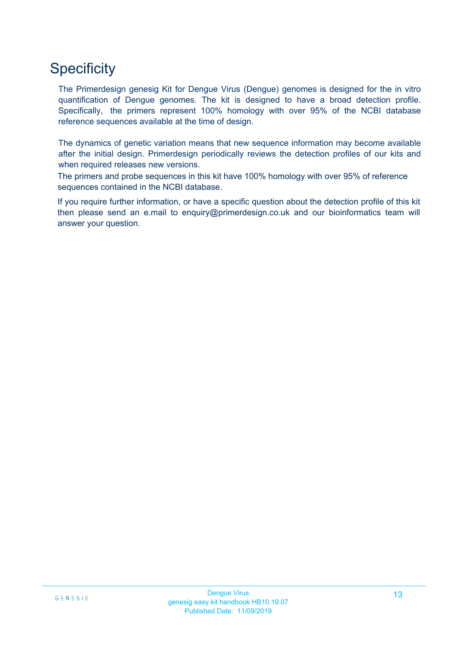# **Specificity**

The Primerdesign genesig Kit for Dengue Virus (Dengue) genomes is designed for the in vitro quantification of Dengue genomes. The kit is designed to have a broad detection profile. Specifically, the primers represent 100% homology with over 95% of the NCBI database reference sequences available at the time of design.

The dynamics of genetic variation means that new sequence information may become available after the initial design. Primerdesign periodically reviews the detection profiles of our kits and when required releases new versions.

The primers and probe sequences in this kit have 100% homology with over 95% of reference sequences contained in the NCBI database.

If you require further information, or have a specific question about the detection profile of this kit then please send an e.mail to enquiry@primerdesign.co.uk and our bioinformatics team will answer your question.